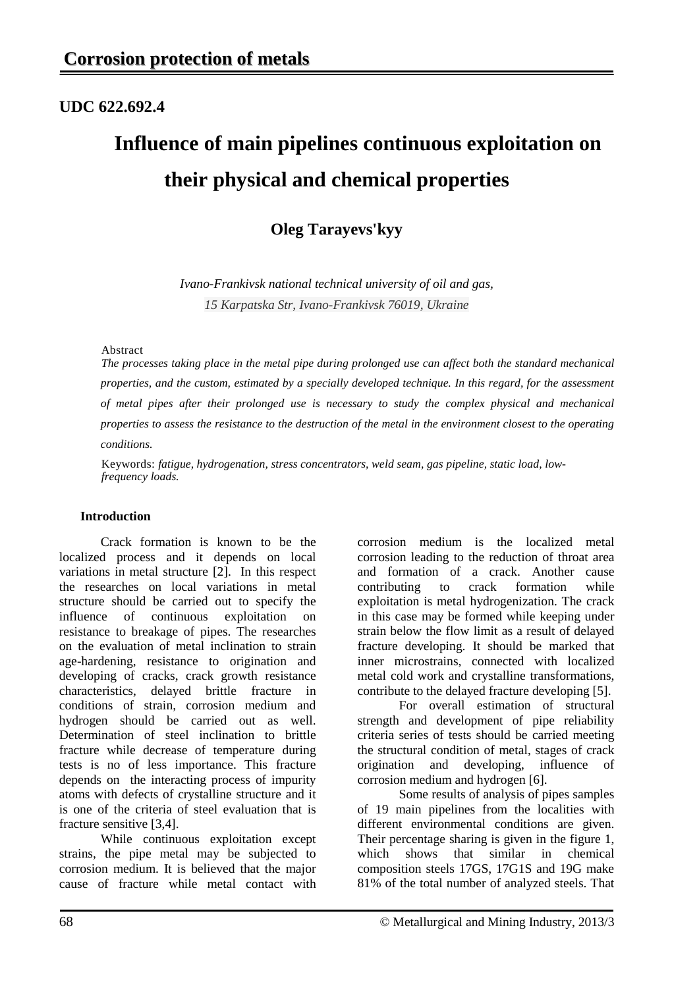# **UDC 622.692.4**

# **Influence of main pipelines continuous exploitation on their physical and chemical properties**

# **Oleg Tarayevs'kyy**

*Ivano-Frankivsk national technical university of oil and gas, 15 Karpatska Str, Ivano-Frankivsk 76019, Ukraine*

#### Abstract

*The processes taking place in the metal pipe during prolonged use can affect both the standard mechanical properties, and the custom, estimated by a specially developed technique. In this regard, for the assessment of metal pipes after their prolonged use is necessary to study the complex physical and mechanical properties to assess the resistance to the destruction of the metal in the environment closest to the operating conditions.*

Keywords: *fatigue, hydrogenation, stress concentrators, weld seam, gas pipeline, static load, lowfrequency loads.*

## **Introduction**

Crack formation is known to be the localized process and it depends on local variations in metal structure [2]. In this respect the researches on local variations in metal structure should be carried out to specify the influence of continuous exploitation on resistance to breakage of pipes. The researches on the evaluation of metal inclination to strain age-hardening, resistance to origination and developing of cracks, crack growth resistance<br>characteristics. delayed brittle fracture in delayed brittle fracture in conditions of strain, corrosion medium and hydrogen should be carried out as well. Determination of steel inclination to brittle fracture while decrease of temperature during tests is no of less importance. This fracture depends on the interacting process of impurity atoms with defects of crystalline structure and it is one of the criteria of steel evaluation that is fracture sensitive [3,4].

While continuous exploitation except strains, the pipe metal may be subjected to corrosion medium. It is believed that the major cause of fracture while metal contact with

corrosion medium is the localized metal corrosion leading to the reduction of throat area and formation of a crack. Another cause contributing to crack formation while exploitation is metal hydrogenization. The crack in this case may be formed while keeping under strain below the flow limit as a result of delayed fracture developing. It should be marked that inner microstrains, connected with localized metal cold work and crystalline transformations, contribute to the delayed fracture developing [5].

For overall estimation of structural strength and development of pipe reliability criteria series of tests should be carried meeting the structural condition of metal, stages of crack origination and developing, influence of corrosion medium and hydrogen [6].

Some results of analysis of pipes samples of 19 main pipelines from the localities with different environmental conditions are given. Their percentage sharing is given in the figure 1,<br>which shows that similar in chemical that similar in chemical composition steels 17GS, 17G1S and 19G make 81% of the total number of analyzed steels. That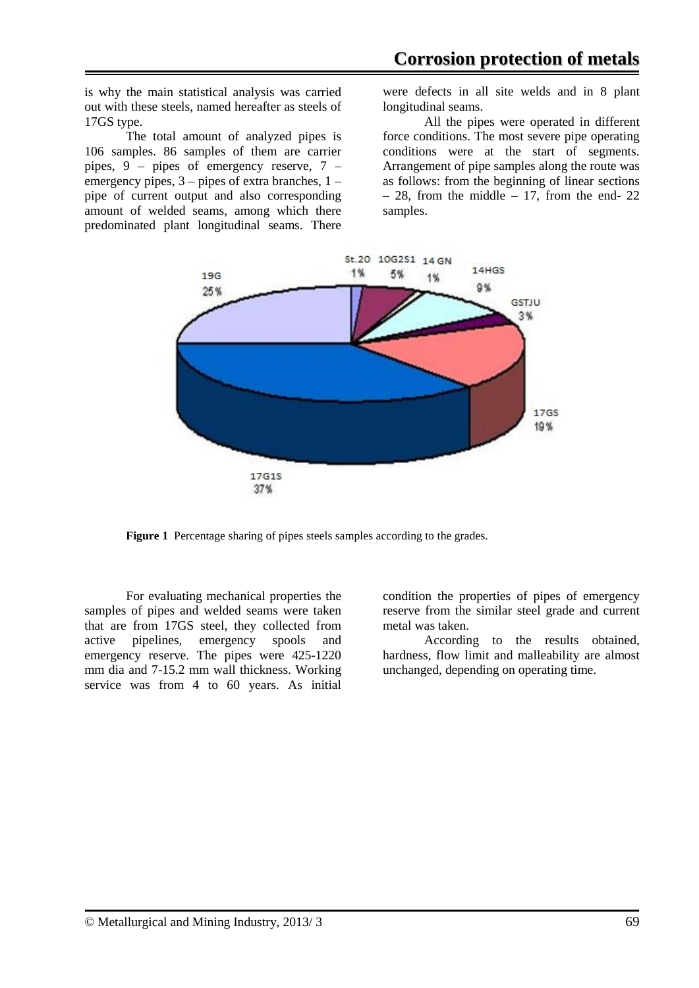is why the main statistical analysis was carried out with these steels, named hereafter as steels of 17GS type.

The total amount of analyzed pipes is 106 samples. 86 samples of them are carrier pipes,  $9$  – pipes of emergency reserve,  $7$  – emergency pipes, 3 – pipes of extra branches, 1 – pipe of current output and also corresponding amount of welded seams, among which there predominated plant longitudinal seams. There

were defects in all site welds and in 8 plant longitudinal seams.

All the pipes were operated in different force conditions. The most severe pipe operating conditions were at the start of segments. Arrangement of pipe samples along the route was as follows: from the beginning of linear sections  $-28$ , from the middle  $-17$ , from the end- 22 samples.



**Figure 1** Percentage sharing of pipes steels samples according to the grades.

For evaluating mechanical properties the samples of pipes and welded seams were taken that are from 17GS steel, they collected from active pipelines, emergency spools and emergency reserve. The pipes were 425-1220 mm dia and 7-15.2 mm wall thickness. Working service was from 4 to 60 years. As initial

condition the properties of pipes of emergency reserve from the similar steel grade and current metal was taken.

According to the results obtained, hardness, flow limit and malleability are almost unchanged, depending on operating time.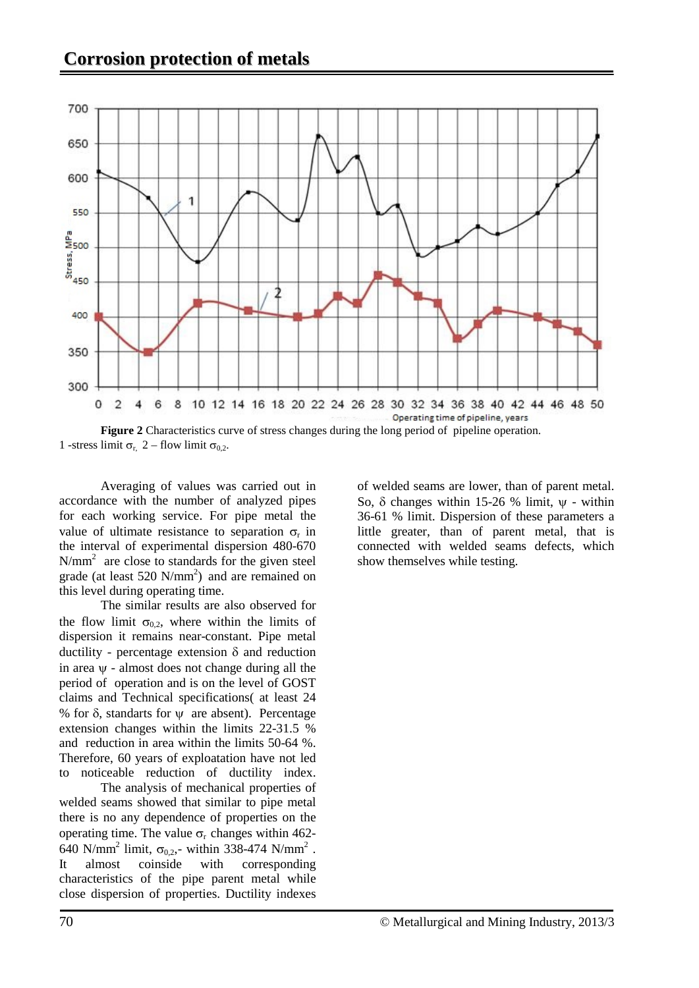

1 -stress limit  $\sigma_{r}$ , 2 – flow limit  $\sigma_{0.2}$ .

Averaging of values was carried out in accordance with the number of analyzed pipes for each working service. For pipe metal the value of ultimate resistance to separation  $\sigma_r$  in the interval of experimental dispersion 480-670 N/mm<sup>2</sup> are close to standards for the given steel grade (at least  $520 \text{ N/mm}^2$ ) and are remained on this level during operating time.

The similar results are also observed for the flow limit  $\sigma_{0,2}$ , where within the limits of dispersion it remains near-constant. Pipe metal ductility - percentage extension δ and reduction in area ψ - almost does not change during all the period of operation and is on the level of GOST claims and Technical specifications( at least 24 % for  $\delta$ , standarts for  $\psi$  are absent). Percentage extension changes within the limits 22-31.5 % and reduction in area within the limits 50-64 %. Therefore, 60 years of exploatation have not led to noticeable reduction of ductility index.

The analysis of mechanical properties of welded seams showed that similar to pipe metal there is no any dependence of properties on the operating time. The value  $\sigma_r$  changes within 462-640 N/mm<sup>2</sup> limit,  $\sigma_{0,2}$ ,- within 338-474 N/mm<sup>2</sup>.<br>It almost coinside with corresponding It almost coinside with corresponding characteristics of the pipe parent metal while close dispersion of properties. Ductility indexes of welded seams are lower, than of parent metal. So, δ changes within 15-26 % limit,  $ψ$  - within 36-61 % limit. Dispersion of these parameters a little greater, than of parent metal, that is connected with welded seams defects, which show themselves while testing.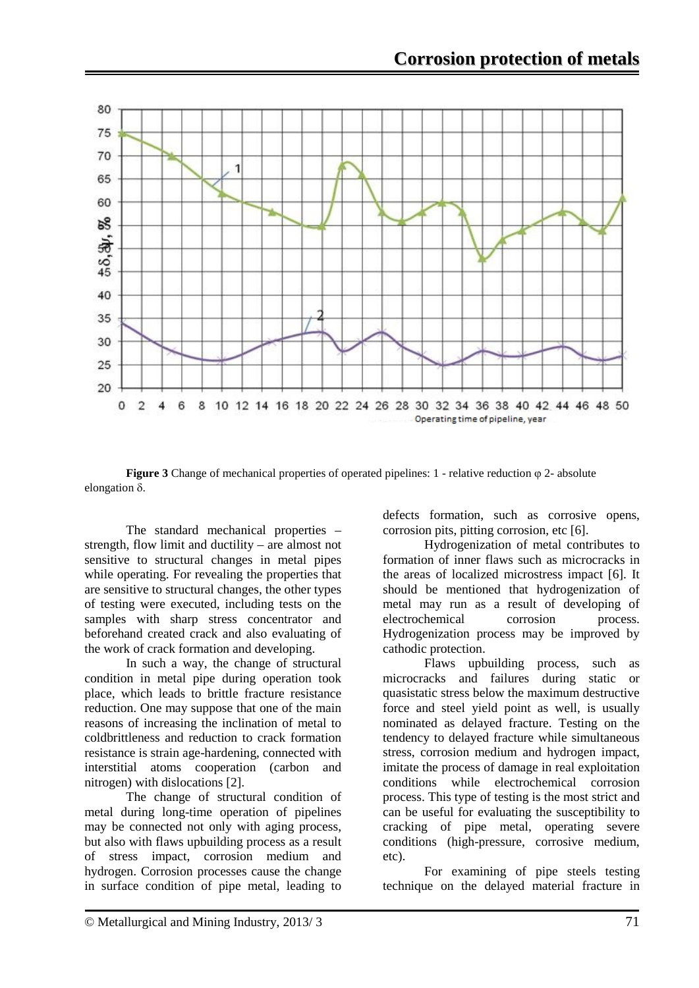

**Figure 3** Change of mechanical properties of operated pipelines: 1 - relative reduction  $\varphi$  2- absolute elongation δ.

The standard mechanical properties – strength, flow limit and ductility – are almost not sensitive to structural changes in metal pipes while operating. For revealing the properties that are sensitive to structural changes, the other types of testing were executed, including tests on the samples with sharp stress concentrator and beforehand created crack and also evaluating of the work of crack formation and developing.

In such a way, the change of structural condition in metal pipe during operation took place, which leads to brittle fracture resistance reduction. One may suppose that one of the main reasons of increasing the inclination of metal to coldbrittleness and reduction to crack formation resistance is strain age-hardening, connected with interstitial atoms cooperation (carbon and nitrogen) with dislocations [2].

The change of structural condition of metal during long-time operation of pipelines may be connected not only with aging process, but also with flaws upbuilding process as a result of stress impact, corrosion medium and hydrogen. Corrosion processes cause the change in surface condition of pipe metal, leading to

defects formation, such as corrosive opens, corrosion pits, pitting corrosion, etc [6].

Hydrogenization of metal contributes to formation of inner flaws such as microcracks in the areas of localized microstress impact [6]. It should be mentioned that hydrogenization of metal may run as a result of developing of electrochemical corrosion process. Hydrogenization process may be improved by cathodic protection.

Flaws upbuilding process, such as microcracks and failures during static or quasistatic stress below the maximum destructive force and steel yield point as well, is usually nominated as delayed fracture. Testing on the tendency to delayed fracture while simultaneous stress, corrosion medium and hydrogen impact, imitate the process of damage in real exploitation conditions while electrochemical corrosion process. This type of testing is the most strict and can be useful for evaluating the susceptibility to cracking of pipe metal, operating severe conditions (high-pressure, corrosive medium, etc).

For examining of pipe steels testing technique on the delayed material fracture in